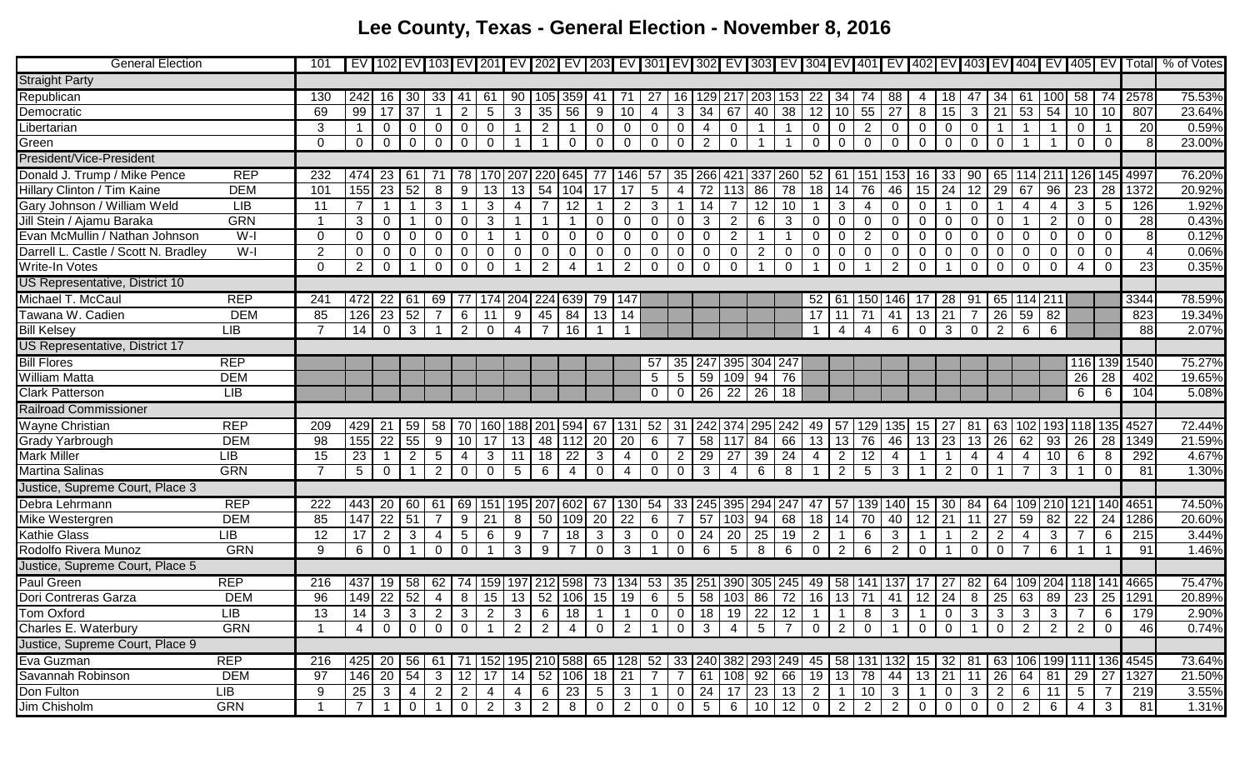## **Lee County, Texas - General Election - November 8, 2016**

| <b>General Election</b>               |            | 101            |                 |                 |                 |                 |                |                |                 |                         |                |                |                |                 |                 |                 |                 |                 |                |                |                 |                               |                |                |                |                 |                   |                |                         |                 |                 |      | EV 102 EV 103 EV 201 EV 202 EV 203 EV 301 EV 301 EV 302 EV 303 EV 304 EV 401 EV 402 EV 403 EV 404 EV 405 EV Total % of Votes |
|---------------------------------------|------------|----------------|-----------------|-----------------|-----------------|-----------------|----------------|----------------|-----------------|-------------------------|----------------|----------------|----------------|-----------------|-----------------|-----------------|-----------------|-----------------|----------------|----------------|-----------------|-------------------------------|----------------|----------------|----------------|-----------------|-------------------|----------------|-------------------------|-----------------|-----------------|------|------------------------------------------------------------------------------------------------------------------------------|
| <b>Straight Party</b>                 |            |                |                 |                 |                 |                 |                |                |                 |                         |                |                |                |                 |                 |                 |                 |                 |                |                |                 |                               |                |                |                |                 |                   |                |                         |                 |                 |      |                                                                                                                              |
| Republican                            |            | 130            | 242 l           | 16              | 30              | 33              | 41             | -61            | 90              |                         | 359.           | -41            |                |                 | 16              | 129.            | -21             |                 | 153            | 22             | 34              |                               | 88             |                | 18             |                 | -34               | -61            |                         | -58             | 74              | 2578 | 75.53%                                                                                                                       |
| Democratic                            |            | 69             | 99              | 17              | $\overline{37}$ |                 | $\overline{2}$ | 5              | 3               | 35                      | 56             | 9              | 10             | 4               | 3               | 34              | 67              | 40              | 38             | 12             | 10              | 55                            | 27             | 8              | 15             | 3               | 21                | 53             | $\overline{54}$         | 10              | 10              | 807  | 23.64%                                                                                                                       |
| Libertarian                           |            | 3              |                 | $\overline{0}$  | $\overline{0}$  | $\mathbf{0}$    | $\mathbf 0$    | 0              |                 | $\overline{2}$          |                | 0              | 0              | $\mathbf 0$     | 0               | -4              | 0               |                 |                | $\overline{0}$ | $\mathbf 0$     | $\overline{2}$                | 0              | $\overline{0}$ | $\mathbf 0$    | 0               |                   |                |                         | $\Omega$        |                 | 20   | 0.59%                                                                                                                        |
| Green                                 |            | $\Omega$       | $0-1$           | $\overline{0}$  | $\overline{0}$  | $\overline{0}$  | $\overline{0}$ | $\mathbf 0$    | $\overline{1}$  | $\overline{\mathbf{1}}$ | $\mathbf 0$    | $\mathbf 0$    | $\mathbf 0$    | $\overline{0}$  | $\overline{0}$  | $\overline{2}$  | $\overline{0}$  | $\mathbf 1$     |                | $\mathbf 0$    | $\mathbf 0$     | $\overline{0}$                | 0              | $\mathbf 0$    | $\overline{0}$ | $\mathbf 0$     | $\Omega$          |                |                         | $\Omega$        | $\mathbf 0$     |      | 23.00%                                                                                                                       |
| <b>President/Vice-President</b>       |            |                |                 |                 |                 |                 |                |                |                 |                         |                |                |                |                 |                 |                 |                 |                 |                |                |                 |                               |                |                |                |                 |                   |                |                         |                 |                 |      |                                                                                                                              |
| Donald J. Trump / Mike Pence          | <b>REP</b> | 232            | 474             | -23             | -61             |                 |                |                |                 |                         |                |                | 146            | 57              | 35              | 266             | 42 <sup>′</sup> | 337             | 260            | 52             | -61             | $15^{\circ}$                  |                | 16             | 33             | 90              | 65                |                |                         | 1261            | 145l            | 4997 | 76.20%                                                                                                                       |
| Hillary Clinton / Tim Kaine           | <b>DEM</b> | 101            | 155             | 23              | 52              | 8               | 9              | 13.            | 13              | 54                      | 104            | 17             | 17             | $5\phantom{.0}$ |                 | 72              | 113             | 86              | 78             | 18             | 14              | 76                            | 46             | 15             | 24             | 12              | 29                | 67             | 96                      | 23              | 28              | 1372 | 20.92%                                                                                                                       |
| Gary Johnson / William Weld           | LIB        | 11             |                 |                 |                 | 3               |                | 3              | 4               |                         | 12             |                | $\overline{2}$ | 3               |                 | 14              |                 | 12              |                |                | 3               | 4                             | 0              | $\Omega$       |                | $\Omega$        |                   | $\overline{4}$ |                         | 3               | 5               | 126  | 1.92%                                                                                                                        |
| Jill Stein / Ajamu Baraka             | <b>GRN</b> |                | 3               | $\overline{0}$  |                 | $\Omega$        | 0              | 3              |                 |                         |                | ∩              | 0              | $\Omega$        |                 | -3              | $\overline{2}$  | 6               | 3              | $\Omega$       | $\Omega$        | 0                             | $\mathbf{0}$   | $\Omega$       | 0              | 0               | ∩                 |                | 2                       | ∩               | $\Omega$        | 28   | 0.43%                                                                                                                        |
| Evan McMullin / Nathan Johnson        | $W-I$      | $\Omega$       | 0               | $\mathbf 0$     | $\Omega$        | $\mathbf 0$     | 0              |                |                 | 0                       | $\overline{0}$ | 0              | 0              | $\mathbf 0$     | $\Omega$        | $\mathbf 0$     | 2               |                 |                | $\mathbf 0$    | $\Omega$        | 2                             | $\Omega$       | $\Omega$       | $\overline{0}$ | 0               | 0                 | $\overline{0}$ | $\Omega$                | $\Omega$        | $\overline{0}$  |      | 0.12%                                                                                                                        |
| Darrell L. Castle / Scott N. Bradley  | W-I        | $\overline{2}$ | $\mathbf{0}$    | $\overline{0}$  | $\overline{0}$  | $\mathbf 0$     | 0              | 0              | $\overline{0}$  | $\mathbf 0$             | $\mathbf 0$    | 0              | 0              | 0               | 0               | $\mathbf 0$     | 0               | 2               | 0              | $\overline{0}$ | $\mathbf{0}$    | $\mathbf 0$                   | 0              | $\mathbf 0$    | $\mathbf 0$    | 0               | 0                 | $\mathbf 0$    | $\mathbf 0$             | 0               | $\mathbf 0$     |      | 0.06%                                                                                                                        |
| <b>Write-In Votes</b>                 |            | $\Omega$       | 2 <sup>1</sup>  | $\overline{0}$  | $\overline{1}$  | $\overline{0}$  | $\mathbf 0$    | $\Omega$       | $\overline{1}$  | $\overline{2}$          | 4              |                | 2              | $\mathbf 0$     | $\mathbf 0$     | $\overline{0}$  | $\mathbf 0$     |                 | $\mathbf 0$    | -1             | $\mathbf 0$     |                               | $\overline{2}$ | $\mathbf 0$    | -1             | $\mathbf 0$     | $\mathbf 0$       | $\mathbf 0$    | $\mathbf 0$             | $\overline{4}$  | $\mathbf 0$     | 23   | 0.35%                                                                                                                        |
| US Representative, District 10        |            |                |                 |                 |                 |                 |                |                |                 |                         |                |                |                |                 |                 |                 |                 |                 |                |                |                 |                               |                |                |                |                 |                   |                |                         |                 |                 |      |                                                                                                                              |
| Michael T. McCaul                     | <b>REP</b> | 241            | 472             | -22             | 61              | 69              |                | 174 204        |                 | 224                     | 639            | 79             | 147            |                 |                 |                 |                 |                 |                | 52             | 61              | 150                           | 146            | 1/             | 28             | 91              | 65                | $114$ 211      |                         |                 |                 | 3344 | 78.59%                                                                                                                       |
| Tawana W. Cadien                      | <b>DEM</b> | 85             | 126             | 23              | 52              | 7               | 6              | 11             | 9               | 45                      | 84             | 13             | 14             |                 |                 |                 |                 |                 |                | 17             | 11              | 71                            | 41             | 13             | 21             | 7               | 26                | 59             | 82                      |                 |                 | 823  | 19.34%                                                                                                                       |
| <b>Bill Kelsey</b>                    | LIB        |                | $\overline{14}$ | $\overline{0}$  | $\mathbf{3}$    | $\overline{1}$  | 2              | $\Omega$       | 4               |                         | 16             |                |                |                 |                 |                 |                 |                 |                | $\overline{1}$ | 4               | $\overline{4}$                | 6              | $\mathbf 0$    | $\mathbf{3}$   | $\mathbf 0$     | $\overline{2}$    | 6              | 6                       |                 |                 | 88   | 2.07%                                                                                                                        |
| <b>US Representative, District 17</b> |            |                |                 |                 |                 |                 |                |                |                 |                         |                |                |                |                 |                 |                 |                 |                 |                |                |                 |                               |                |                |                |                 |                   |                |                         |                 |                 |      |                                                                                                                              |
| <b>Bill Flores</b>                    | <b>REP</b> |                |                 |                 |                 |                 |                |                |                 |                         |                |                |                | 57              | 35              | 247             | 395 304         |                 | 247            |                |                 |                               |                |                |                |                 |                   |                |                         | 116             | 139             | 1540 | 75.27%                                                                                                                       |
| William Matta                         | <b>DEM</b> |                |                 |                 |                 |                 |                |                |                 |                         |                |                |                | 5               | 5               | 59              | 109             | 94              | 76             |                |                 |                               |                |                |                |                 |                   |                |                         | 26              | 28              | 402  | 19.65%                                                                                                                       |
| Clark Patterson                       | <b>LIB</b> |                |                 |                 |                 |                 |                |                |                 |                         |                |                |                | $\overline{0}$  | $\overline{0}$  | 26              | 22              | 26              | 18             |                |                 |                               |                |                |                |                 |                   |                |                         | 6               | 6               | 104  | 5.08%                                                                                                                        |
| <b>Railroad Commissioner</b>          |            |                |                 |                 |                 |                 |                |                |                 |                         |                |                |                |                 |                 |                 |                 |                 |                |                |                 |                               |                |                |                |                 |                   |                |                         |                 |                 |      |                                                                                                                              |
| <b>Wayne Christian</b>                | <b>REP</b> | 209            | 429             | 21              | 59              | 58              | 70             | 160 <b>I</b>   | 188             | 201                     | 594            | -67            | 131            | 52              | -31             | 242             | 374 295         |                 | 242            | 49             | -57             | 129                           | 1351           | 15             | -27            | 81              | 63                | 102            |                         | 193 118 135     |                 | 4527 | 72.44%                                                                                                                       |
| <b>Grady Yarbrough</b>                | <b>DEM</b> | 98             | 155             | $\overline{22}$ | $\overline{55}$ | 9               | 10             | 17             | 13              | 48                      | 112            | 20             | 20             | 6               |                 | 58              | 117             | 84              | 66             | 13             | $\overline{13}$ | 76                            | 46             | 13             | 23             | 13              | 26                | 62             | 93                      | 26              | 28              | 1349 | 21.59%                                                                                                                       |
| Mark Miller                           | LIB        | 15             | 23              |                 | $\overline{2}$  | $5\overline{)}$ | 4              | 3              | 11              | 18                      | 22             | 3              | 4              | $\mathbf 0$     | $\overline{2}$  | 29              | 27              | 39              | 24             | $\overline{4}$ | $\overline{2}$  | 12                            | 4              |                |                | 4               | 4                 | $\overline{4}$ | 10                      | 6               | 8               | 292  | 4.67%                                                                                                                        |
| <b>Martina Salinas</b>                | <b>GRN</b> | $\overline{7}$ | 5 <sup>5</sup>  | $\overline{0}$  |                 | $\overline{2}$  | $\overline{0}$ | 0              | $5\overline{)}$ | 6                       | 4              | $\mathbf 0$    | 4              | 0               | $\mathbf 0$     | $\mathbf{3}$    | $\overline{4}$  | 6               | 8              |                | $\overline{2}$  | $5\overline{)}$               | 3              |                | 2              | 0               |                   |                | 3                       |                 | $\Omega$        | 81   | 1.30%                                                                                                                        |
| Justice, Supreme Court, Place 3       |            |                |                 |                 |                 |                 |                |                |                 |                         |                |                |                |                 |                 |                 |                 |                 |                |                |                 |                               |                |                |                |                 |                   |                |                         |                 |                 |      |                                                                                                                              |
| Debra Lehrmann                        | <b>REP</b> | 222            | 443             | 20              | 60              | -61             | 69             | 151            | 195             | 207                     |                | 67             | 130            | 54              | 33              | 245             | 395             | 294             | 247            | 47             | 57              | 139                           | 140l           | 15             | 30             | 84              | 64                | 109            | 210 <b>1</b>            | 121             | 140             | 465' | 74.50%                                                                                                                       |
| Mike Westergren                       | <b>DEM</b> | 85             | 147             | 22              | 51              | 7               | 9              | 21             | 8               | 50                      | 109            | 20             | 22             | 6               | 7               | 57              | 103             | 94              | 68             | 18             | 14              | 70                            | 40             | 12             | 21             | 11              | 27                | 59             | 82                      | 22              | 24              | 1286 | 20.60%                                                                                                                       |
| <b>Kathie Glass</b>                   | LIB        | 12             | 17              | $\overline{2}$  | $\mathbf{3}$    | $\overline{4}$  | 5              | 6              | 9               |                         | 18             | $\mathbf{3}$   | 3              | $\mathbf 0$     | $\mathbf 0$     | 24              | 20              | 25              | 19             | 2              |                 | 6                             | 3              |                |                | $\overline{2}$  | 2                 | $\overline{4}$ | 3                       |                 | 6               | 215  | 3.44%                                                                                                                        |
| Rodolfo Rivera Munoz                  | <b>GRN</b> | 9              | 6 <sup>1</sup>  | $\overline{0}$  | $\overline{1}$  | $\overline{0}$  | $\mathbf 0$    |                | $\mathbf{3}$    | 9                       |                | $\mathbf 0$    | 3              | -1              | $\mathbf 0$     | 6               | $5\overline{)}$ | 8               | 6              | $\overline{0}$ | $\overline{2}$  | 6                             | 2              | $\mathbf 0$    | $\overline{1}$ | $\mathbf 0$     | $\mathbf 0$       | $\overline{7}$ | 6                       |                 |                 | 91   | 1.46%                                                                                                                        |
| Justice, Supreme Court, Place 5       |            |                |                 |                 |                 |                 |                |                |                 |                         |                |                |                |                 |                 |                 |                 |                 |                |                |                 |                               |                |                |                |                 |                   |                |                         |                 |                 |      |                                                                                                                              |
| <b>Paul Green</b>                     | <b>REP</b> | 216            | 437             | 19              | 58              | 62              | - 74           | 159 197        |                 | 212                     | 598            | 73             | 134            | 53              | 35              | 251             | 390 305         |                 | <b>245</b>     | 49             | 58              | 141                           | 137            |                | 27             | 82 <sub>1</sub> | 64                |                |                         | 109 204 118 141 |                 | 4665 | 75.47%                                                                                                                       |
| Dori Contreras Garza                  | <b>DEM</b> | 96             | 149             | $\overline{22}$ | 52              | $\overline{4}$  | 8              | 15 13          |                 |                         | 52   106       | 15             | 19             | 6               | $5\overline{)}$ | 58 103 86       |                 |                 | 72             | 16             | 13              | 71                            | 41             | 12             | 24             | 8               | 25                | 63             | 89                      | 23              | 25              | 1291 | 20.89%                                                                                                                       |
| <b>Tom Oxford</b>                     | LIB        | 13             | 14              |                 |                 | 3 3 2 3 2 3     |                |                |                 |                         |                |                | 6 18 1 1 0     |                 |                 |                 |                 |                 | 0 18 19 22 12  |                |                 | $1 \mid 1 \mid 8 \mid 3 \mid$ |                | $\overline{1}$ | $\overline{0}$ | $3 \mid 3$      |                   | $\overline{3}$ | $\overline{\mathbf{3}}$ | $\overline{7}$  | $6\overline{6}$ | 179  | 2.90%                                                                                                                        |
| Charles E. Waterbury                  | <b>GRN</b> |                | $\overline{4}$  | $\overline{0}$  | $\overline{0}$  | $\overline{0}$  | $\Omega$       |                | $\overline{2}$  | $\overline{2}$          | 4              | 0              | $\overline{2}$ |                 | $\overline{0}$  | $\mathbf{3}$    | $\overline{4}$  | $5\overline{5}$ | $\overline{7}$ | $\Omega$       | $\overline{2}$  | $\Omega$                      |                | $\overline{0}$ | $\overline{0}$ |                 | $\mathbf{0}$      | $\overline{2}$ | 2                       | $\overline{2}$  | $\overline{0}$  | 46l  | 0.74%                                                                                                                        |
| Justice, Supreme Court, Place 9       |            |                |                 |                 |                 |                 |                |                |                 |                         |                |                |                |                 |                 |                 |                 |                 |                |                |                 |                               |                |                |                |                 |                   |                |                         |                 |                 |      |                                                                                                                              |
| Eva Guzman                            | <b>REP</b> | 216            | 425             | -20             | 56              | -61             |                |                | 152 195         |                         | 210 588 65     |                | $128$ 52       |                 |                 | 33 240          | 382 293         |                 | 249            | 45             | 58              | 131                           |                | 15             | 32             | $81 \mid 63$    |                   | 106            | 1991111                 |                 | 136             | 4545 | 73.64%                                                                                                                       |
| Savannah Robinson                     | <b>DEM</b> | 97             | $146$ 20        |                 | 54              | $\mathbf{3}$    | 12             | 17 I           | 14              |                         | 52 106 18 21   |                |                | $\overline{7}$  |                 | 61              | 108 92          |                 | 66             | 19             | 13              | 78                            | 44             | $13 \mid 21$   |                |                 | 11   26   64   81 |                |                         | $29 \mid 27$    |                 | 1327 | 21.50%                                                                                                                       |
| Don Fulton                            | <b>LIB</b> | 9              | 25              | $\mathbf{3}$    | $\overline{4}$  | $\overline{2}$  | 2              | 4              | 4               | $6\phantom{.}6$         | 23             | $\sqrt{5}$     | 3              | -1              | 0               | 24              | 17 <sup>1</sup> | 23              | 13             | 2              |                 | 10                            | 3              | $\mathbf 1$    | 0              | 3 <sup>1</sup>  | 2 <sup>1</sup>    | 6 <sup>1</sup> | 11                      | $5\overline{)}$ | $\overline{7}$  | 219  | 3.55%                                                                                                                        |
| Jim Chisholm                          | <b>GRN</b> |                |                 |                 | $\overline{0}$  |                 | $\mathbf 0$    | $\overline{2}$ | $\mathbf{3}$    | 2                       | 8              | $\overline{0}$ | $\overline{2}$ | $\overline{0}$  | $\mathbf 0$     | $5\phantom{.0}$ | $6\overline{6}$ | 10              | 12             | $\overline{0}$ | $\overline{2}$  | $\overline{2}$                | 2              | $\mathbf 0$    | $\overline{0}$ | $\mathbf 0$     | $\overline{0}$    | $\overline{2}$ | 6                       | $\overline{4}$  | $\mathbf{3}$    | 81   | 1.31%                                                                                                                        |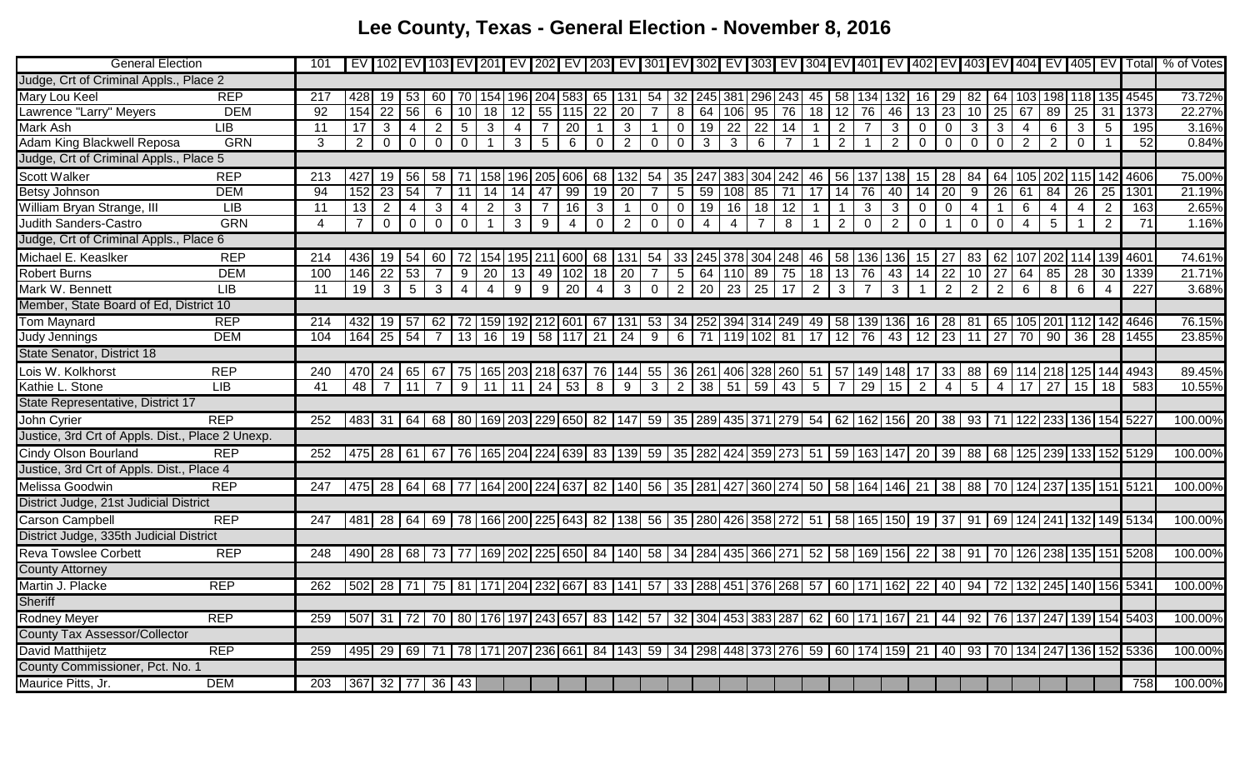## **Lee County, Texas - General Election - November 8, 2016**

| <b>General Election</b>                          | 101                   |                 |                 |                 |                |                 |                |                 |                |                                                 |                         |                 |                                                                                                                                                                       |                 |                 |                                                  |                 |                |                 |                    |                |                |                 |                         |                |                 |                 |                 |                                                                                                     |     | EV 102 EV 103 EV 201 EV 202 EV 203 EV 301 EV 302 EV 302 EV 303 EV 304 EV 401 EV 402 EV 403 EV 404 EV 405 EV Total                                                     | % of Votes |
|--------------------------------------------------|-----------------------|-----------------|-----------------|-----------------|----------------|-----------------|----------------|-----------------|----------------|-------------------------------------------------|-------------------------|-----------------|-----------------------------------------------------------------------------------------------------------------------------------------------------------------------|-----------------|-----------------|--------------------------------------------------|-----------------|----------------|-----------------|--------------------|----------------|----------------|-----------------|-------------------------|----------------|-----------------|-----------------|-----------------|-----------------------------------------------------------------------------------------------------|-----|-----------------------------------------------------------------------------------------------------------------------------------------------------------------------|------------|
| Judge, Crt of Criminal Appls., Place 2           |                       |                 |                 |                 |                |                 |                |                 |                |                                                 |                         |                 |                                                                                                                                                                       |                 |                 |                                                  |                 |                |                 |                    |                |                |                 |                         |                |                 |                 |                 |                                                                                                     |     |                                                                                                                                                                       |            |
| <b>REP</b><br><b>Mary Lou Keel</b>               | 217                   | 428             | 19              | 53              | 60             | 70              | 154            | 196 204         |                | 583                                             | 65                      | 131             | 54                                                                                                                                                                    | 32              | 245             | 381                                              | 296 243         |                | 45              | 58                 | 134 132        |                | 16              | 29                      | 82             | 64              | 103             |                 | 198 118 135                                                                                         |     | 4545                                                                                                                                                                  | 73.72%     |
| <b>DEM</b><br>Lawrence "Larry" Meyers            | 92                    | 154             | $\overline{22}$ | 56              | 6              | 10 <sup>1</sup> | 18             | $\overline{12}$ | 55             | 115                                             | 22                      | $\overline{20}$ |                                                                                                                                                                       | 8               | 64              | 106                                              | 95              | 76             | 18              | $\overline{12}$    | 76             | 46             | $\overline{13}$ | $\overline{23}$         | 10             | $\overline{25}$ | 67              | 89              | 25                                                                                                  | 31  | 1373                                                                                                                                                                  | 22.27%     |
| LIB<br>Mark Ash                                  | 11                    | $\overline{17}$ | 3               | $\overline{4}$  | $\overline{2}$ | 5 <sup>5</sup>  | $\mathbf{3}$   | 4               |                | $\overline{20}$                                 |                         | 3               |                                                                                                                                                                       | $\overline{0}$  | 19              | $\overline{22}$                                  | $\overline{22}$ | 14             |                 | 2                  | $\overline{7}$ | $\mathbf{3}$   | $\Omega$        | $\overline{0}$          | 3              | $\mathbf{3}$    | $\overline{4}$  | 6               | $\mathbf{3}$                                                                                        | 5   | 195                                                                                                                                                                   | 3.16%      |
| Adam King Blackwell Reposa<br><b>GRN</b>         | 3                     | $\overline{2}$  | $\mathbf 0$     | $\overline{0}$  | $\mathbf 0$    | $\mathbf 0$     | $\mathbf{1}$   | $\mathbf{3}$    | -5             | 6                                               | $\mathbf 0$             | $\overline{2}$  | $\overline{0}$                                                                                                                                                        | $\mathbf 0$     | 3               | $\mathbf{3}$                                     | $6\phantom{.}6$ | $\overline{7}$ |                 | $\overline{2}$     | -1             | $\overline{2}$ | $\mathbf 0$     | $\mathbf 0$             | $\mathbf 0$    | $\mathbf 0$     | 2               | $\overline{2}$  | $\overline{0}$                                                                                      |     | 52                                                                                                                                                                    | 0.84%      |
| Judge, Crt of Criminal Appls., Place 5           |                       |                 |                 |                 |                |                 |                |                 |                |                                                 |                         |                 |                                                                                                                                                                       |                 |                 |                                                  |                 |                |                 |                    |                |                |                 |                         |                |                 |                 |                 |                                                                                                     |     |                                                                                                                                                                       |            |
| <b>Scott Walker</b><br><b>REP</b>                | 213                   | 427             | 19              | 56              | 58             | 71              | 158            |                 |                | 196 205 606                                     | 68                      | 132             | 54                                                                                                                                                                    | 35              | 247             | 383                                              | 304             | 242            | 46              | 56                 | 137            | 138            | 15              | 28                      | 84             | 64              | 105             |                 | 202 115                                                                                             | 142 | 4606                                                                                                                                                                  | 75.00%     |
| <b>DEM</b><br><b>Betsy Johnson</b>               | 94                    | 152             | $\overline{23}$ | 54              |                | 11              | 14             | 14              | 47             | 99                                              | 19                      | 20              |                                                                                                                                                                       | $5\phantom{.0}$ | 59              | 108                                              | 85              | 71             | 17              | 14                 | 76             | 40             | 14              | 20                      | 9              | $\overline{26}$ | 61              | 84              | 26                                                                                                  | 25  | 1301                                                                                                                                                                  | 21.19%     |
| William Bryan Strange, III<br>LIB                | 11                    | 13              | $\overline{2}$  | $\overline{4}$  | $\overline{3}$ | $\overline{4}$  | $\overline{2}$ | $\mathbf{3}$    | $\overline{7}$ | 16                                              | $\mathbf{3}$            | $\overline{1}$  | $\overline{0}$                                                                                                                                                        | $\overline{0}$  | 19              | 16                                               | $\overline{18}$ | 12             | $\mathbf{1}$    | $\overline{1}$     | $\mathbf{3}$   | $\mathbf{3}$   | $\mathbf 0$     | $\Omega$                | $\overline{4}$ | $\overline{1}$  | 6               | $\overline{4}$  | $\overline{4}$                                                                                      | 2   | 163                                                                                                                                                                   | 2.65%      |
| <b>GRN</b><br><b>Judith Sanders-Castro</b>       | $\boldsymbol{\Delta}$ | $\overline{7}$  | $\overline{0}$  | $\overline{0}$  | $\mathbf 0$    | $\mathbf 0$     | $\overline{1}$ | $\mathbf{3}$    | 9              | $\overline{4}$                                  | $\overline{0}$          | $\overline{2}$  | $\overline{0}$                                                                                                                                                        | $\mathbf 0$     | $\overline{4}$  | $\overline{4}$                                   | $\overline{7}$  | 8              | -1              | $\overline{2}$     | $\overline{0}$ | 2              | $\mathbf 0$     | $\overline{\mathbf{1}}$ | $\mathbf{0}$   | $\overline{0}$  | $\overline{4}$  | $5\overline{)}$ | $\mathbf{1}$                                                                                        | 2   | 71                                                                                                                                                                    | 1.16%      |
| Judge, Crt of Criminal Appls., Place 6           |                       |                 |                 |                 |                |                 |                |                 |                |                                                 |                         |                 |                                                                                                                                                                       |                 |                 |                                                  |                 |                |                 |                    |                |                |                 |                         |                |                 |                 |                 |                                                                                                     |     |                                                                                                                                                                       |            |
| Michael E. Keaslker<br><b>REP</b>                | 214                   | 436             | 19              | 54              | 60             | 72              | 154            |                 |                | 195 211 600                                     |                         | 68 131          | 54                                                                                                                                                                    | 33              | 245             | 378                                              | 304 248         |                | 46              | 58                 | 136 136        |                | 15              | -27                     | 83             | 62              | 107             |                 | 202 114 139                                                                                         |     | 460 <sup>4</sup>                                                                                                                                                      | 74.61%     |
| <b>DEM</b><br><b>Robert Burns</b>                | 100                   | 146             | $\overline{22}$ | $\overline{53}$ | $\overline{7}$ | 9               | 20             | 13              | 49             | 102                                             | $\overline{18}$         | 20              |                                                                                                                                                                       | $\overline{5}$  | 64              | 110                                              | 89              | 75             | 18              | 13                 | 76             | 43             | 14              | 22                      | 10             | 27              | 64              | 85              | 28                                                                                                  | 30  | 1339                                                                                                                                                                  | 21.71%     |
| Mark W. Bennett<br><b>LIB</b>                    | 11                    | 19              | $\mathbf{3}$    | $5\overline{)}$ | $\mathbf{3}$   | $\overline{4}$  | $\overline{4}$ | 9               | 9              | $\overline{20}$                                 | $\overline{4}$          | $\mathbf{3}$    | $\overline{0}$                                                                                                                                                        | 2               | $\overline{20}$ | $\overline{23}$                                  | $\overline{25}$ | $\sqrt{17}$    | $\overline{2}$  | $\mathbf{3}$       | $\overline{7}$ | $\mathbf{3}$   |                 | 2                       | 2              | $\overline{2}$  | 6               | 8               | 6                                                                                                   |     | 227                                                                                                                                                                   | 3.68%      |
| Member, State Board of Ed, District 10           |                       |                 |                 |                 |                |                 |                |                 |                |                                                 |                         |                 |                                                                                                                                                                       |                 |                 |                                                  |                 |                |                 |                    |                |                |                 |                         |                |                 |                 |                 |                                                                                                     |     |                                                                                                                                                                       |            |
| <b>REP</b><br><b>Tom Maynard</b>                 | 214                   | 4321            | 19              | 57              |                |                 |                |                 |                | 62   72   159   192   212   601   67   131      |                         |                 | 53                                                                                                                                                                    |                 |                 | 34   252   394   314   249   49                  |                 |                |                 | 58   139   136     |                |                | 16              | 28                      |                |                 |                 |                 |                                                                                                     |     | 81   65   105   201   112   142   4646                                                                                                                                | 76.15%     |
| <b>DEM</b><br>Judy Jennings                      | 104                   | 164             | 25              | 54              | $\overline{7}$ | 13              | 16             |                 |                | 19 58 117 21                                    |                         | 24              | 9                                                                                                                                                                     | 6               | $\overline{71}$ | 119 102 81                                       |                 |                | $\overline{17}$ | $12 \overline{76}$ |                | 43             | $\overline{12}$ | 23                      | 11             | 27              | $\overline{70}$ |                 | $90 \mid 36$                                                                                        | 28  | 1455                                                                                                                                                                  | 23.85%     |
| State Senator, District 18                       |                       |                 |                 |                 |                |                 |                |                 |                |                                                 |                         |                 |                                                                                                                                                                       |                 |                 |                                                  |                 |                |                 |                    |                |                |                 |                         |                |                 |                 |                 |                                                                                                     |     |                                                                                                                                                                       |            |
| Lois W. Kolkhorst<br><b>REP</b>                  | 240                   |                 | 470 24          | 65              |                |                 |                |                 |                | 67   75   165   203   218   637   76   144   55 |                         |                 |                                                                                                                                                                       |                 |                 | 36   261   406   328   260   51   57   149   148 |                 |                |                 |                    |                |                | 17              |                         |                |                 |                 |                 | 33   88   69   114   218   125   144                                                                |     | 4943                                                                                                                                                                  | 89.45%     |
| LIB<br>Kathie L. Stone                           | 41                    | 48              | $\overline{7}$  | 11              | $\overline{7}$ |                 | $9$ 11 11      |                 |                | $24 \mid 53$                                    | $\overline{\mathbf{8}}$ | $\overline{9}$  | $\mathbf{3}$                                                                                                                                                          | $\overline{2}$  | $\overline{38}$ | 51                                               | $-59$           | 43             | $5\phantom{.0}$ | $\overline{7}$     | $29 \mid 15$   |                | 2               | $\overline{4}$          | $\overline{5}$ | $\overline{4}$  | 17              |                 | $27 \mid 15 \mid$                                                                                   | 18  | 583                                                                                                                                                                   | 10.55%     |
| State Representative, District 17                |                       |                 |                 |                 |                |                 |                |                 |                |                                                 |                         |                 |                                                                                                                                                                       |                 |                 |                                                  |                 |                |                 |                    |                |                |                 |                         |                |                 |                 |                 |                                                                                                     |     |                                                                                                                                                                       |            |
| <b>REP</b><br>John Cyrier                        | 252                   |                 | 483 31          |                 |                |                 |                |                 |                |                                                 |                         |                 | 64   68   80   169   203   229   650   82   147   59   35   289   435   371   279   54   62   162   156   20   38   93   71   122   233   136   154   5227            |                 |                 |                                                  |                 |                |                 |                    |                |                |                 |                         |                |                 |                 |                 |                                                                                                     |     |                                                                                                                                                                       | 100.00%    |
| Justice, 3rd Crt of Appls. Dist., Place 2 Unexp. |                       |                 |                 |                 |                |                 |                |                 |                |                                                 |                         |                 |                                                                                                                                                                       |                 |                 |                                                  |                 |                |                 |                    |                |                |                 |                         |                |                 |                 |                 |                                                                                                     |     |                                                                                                                                                                       |            |
| <b>Cindy Olson Bourland</b><br><b>REP</b>        | 252                   |                 |                 |                 |                |                 |                |                 |                |                                                 |                         |                 |                                                                                                                                                                       |                 |                 |                                                  |                 |                |                 |                    |                |                |                 |                         |                |                 |                 |                 |                                                                                                     |     | 475   28   61   67   76   165   204   224   639   83   139   59   35   282   424   359   273   51   59   163   147   20   39   88   68   125   239   133   152   5129 | 100.00%    |
| Justice, 3rd Crt of Appls. Dist., Place 4        |                       |                 |                 |                 |                |                 |                |                 |                |                                                 |                         |                 |                                                                                                                                                                       |                 |                 |                                                  |                 |                |                 |                    |                |                |                 |                         |                |                 |                 |                 |                                                                                                     |     |                                                                                                                                                                       |            |
| <b>REP</b><br><b>Melissa Goodwin</b>             | 247                   |                 |                 |                 |                |                 |                |                 |                |                                                 |                         |                 | 475   28   64   68   77   164   200   224   637   82   140   56   35   281   427   360   274   50   58   164   146   21   38   88   70   124   237   135   151   5121 |                 |                 |                                                  |                 |                |                 |                    |                |                |                 |                         |                |                 |                 |                 |                                                                                                     |     |                                                                                                                                                                       | 100.00%    |
| District Judge, 21st Judicial District           |                       |                 |                 |                 |                |                 |                |                 |                |                                                 |                         |                 |                                                                                                                                                                       |                 |                 |                                                  |                 |                |                 |                    |                |                |                 |                         |                |                 |                 |                 |                                                                                                     |     |                                                                                                                                                                       |            |
| <b>Carson Campbell</b><br><b>REP</b>             | 247                   |                 |                 |                 |                |                 |                |                 |                |                                                 |                         |                 |                                                                                                                                                                       |                 |                 |                                                  |                 |                |                 |                    |                |                |                 |                         |                |                 |                 |                 |                                                                                                     |     | 481 28 64 69 78 166 200 225 643 82 138 56 35 280 426 358 272 51 58 165 150 19 37 91 69 124 241 132 149 5134                                                           | 100.00%    |
| District Judge, 335th Judicial District          |                       |                 |                 |                 |                |                 |                |                 |                |                                                 |                         |                 |                                                                                                                                                                       |                 |                 |                                                  |                 |                |                 |                    |                |                |                 |                         |                |                 |                 |                 |                                                                                                     |     |                                                                                                                                                                       |            |
| <b>Reva Towslee Corbett</b><br><b>REP</b>        | 248                   |                 |                 |                 |                |                 |                |                 |                |                                                 |                         |                 | 490 28 68 73 77 169 202 225 650 84 140 58 34 284 435 366 271 52 58 169 156 22 38 91 70 126 238 135 151                                                                |                 |                 |                                                  |                 |                |                 |                    |                |                |                 |                         |                |                 |                 |                 |                                                                                                     |     | 5208                                                                                                                                                                  | 100.00%    |
| <b>County Attorney</b>                           |                       |                 |                 |                 |                |                 |                |                 |                |                                                 |                         |                 |                                                                                                                                                                       |                 |                 |                                                  |                 |                |                 |                    |                |                |                 |                         |                |                 |                 |                 |                                                                                                     |     |                                                                                                                                                                       |            |
| <b>REP</b><br>Martin J. Placke                   | 262                   |                 | 502 28 71       |                 |                |                 |                |                 |                | 75   81   171   204   232   667   83   141   57 |                         |                 |                                                                                                                                                                       |                 |                 |                                                  |                 |                |                 |                    |                |                |                 |                         |                |                 |                 |                 | 33   288   451   376   268   57   60   171   162   22   40   94   72   132   245   140   156   5341 |     |                                                                                                                                                                       | 100.00%    |
| <b>Sheriff</b>                                   |                       |                 |                 |                 |                |                 |                |                 |                |                                                 |                         |                 |                                                                                                                                                                       |                 |                 |                                                  |                 |                |                 |                    |                |                |                 |                         |                |                 |                 |                 |                                                                                                     |     |                                                                                                                                                                       |            |
| <b>REP</b><br><b>Rodney Meyer</b>                | 259                   |                 |                 |                 |                |                 |                |                 |                | 507 31 72 70 80 176 197 243 657 83 142 57       |                         |                 |                                                                                                                                                                       |                 |                 | 32 304 453 383 287 62 60 171 167 21              |                 |                |                 |                    |                |                |                 |                         |                |                 |                 |                 |                                                                                                     |     | 44   92   76   137   247   139   154   5403                                                                                                                           | 100.00%    |
| County Tax Assessor/Collector                    |                       |                 |                 |                 |                |                 |                |                 |                |                                                 |                         |                 |                                                                                                                                                                       |                 |                 |                                                  |                 |                |                 |                    |                |                |                 |                         |                |                 |                 |                 |                                                                                                     |     |                                                                                                                                                                       |            |
| <b>REP</b><br>David Matthijetz                   | 259                   |                 |                 |                 |                |                 |                |                 |                |                                                 |                         |                 |                                                                                                                                                                       |                 |                 |                                                  |                 |                |                 |                    |                |                |                 |                         |                |                 |                 |                 |                                                                                                     |     | 495 29 69 71 78 171 207 236 661 84 143 59 34 298 448 373 276 59 60 174 159 21 40 93 70 134 247 136 152 5336                                                           | 100.00%    |
| County Commissioner, Pct. No. 1                  |                       |                 |                 |                 |                |                 |                |                 |                |                                                 |                         |                 |                                                                                                                                                                       |                 |                 |                                                  |                 |                |                 |                    |                |                |                 |                         |                |                 |                 |                 |                                                                                                     |     |                                                                                                                                                                       |            |
| Maurice Pitts, Jr.<br><b>DEM</b>                 | 203                   |                 | 367 32 77 36 43 |                 |                |                 |                |                 |                |                                                 |                         |                 |                                                                                                                                                                       |                 |                 |                                                  |                 |                |                 |                    |                |                |                 |                         |                |                 |                 |                 |                                                                                                     |     | 758                                                                                                                                                                   | 100.00%    |